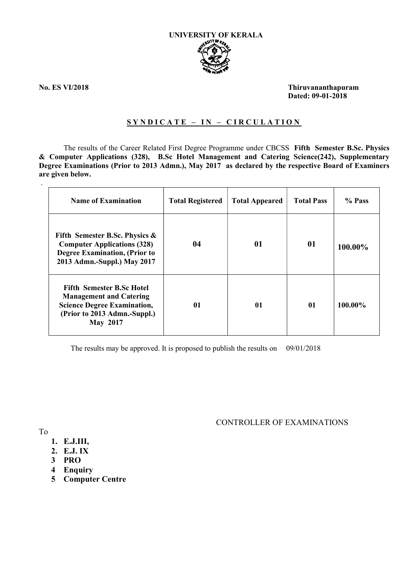

.

No. ES VI/2018 Thiruvananthapuram Dated: 09-01-2018

### SYNDICATE - IN - CIRCULATION

The results of the Career Related First Degree Programme under CBCSS Fifth Semester B.Sc. Physics & Computer Applications (328), B.Sc Hotel Management and Catering Science(242), Supplementary Degree Examinations (Prior to 2013 Admn.), May 2017 as declared by the respective Board of Examiners are given below.

| <b>Name of Examination</b>                                                                                                                                  | <b>Total Registered</b> | <b>Total Appeared</b> | <b>Total Pass</b> | % Pass  |
|-------------------------------------------------------------------------------------------------------------------------------------------------------------|-------------------------|-----------------------|-------------------|---------|
| Fifth Semester B.Sc. Physics $\&$<br><b>Computer Applications (328)</b><br><b>Degree Examination, (Prior to</b><br>2013 Admn.-Suppl.) May 2017              | 04                      | 01                    | 01                | 100.00% |
| <b>Fifth Semester B.Sc Hotel</b><br><b>Management and Catering</b><br><b>Science Degree Examination,</b><br>(Prior to 2013 Admn.-Suppl.)<br><b>May 2017</b> | 01                      | 01                    | 01                | 100.00% |

The results may be approved. It is proposed to publish the results on 09/01/2018

CONTROLLER OF EXAMINATIONS

To

- 1. E.J.III,
- 2. E.J. IX
- 3 PRO
- 4 Enquiry
- 5 Computer Centre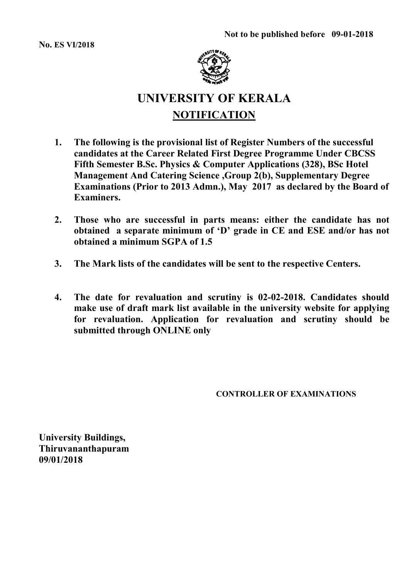No. ES VI/2018



# UNIVERSITY OF KERALA **NOTIFICATION**

- 1. The following is the provisional list of Register Numbers of the successful candidates at the Career Related First Degree Programme Under CBCSS Fifth Semester B.Sc. Physics & Computer Applications (328), BSc Hotel Management And Catering Science ,Group 2(b), Supplementary Degree Examinations (Prior to 2013 Admn.), May 2017 as declared by the Board of Examiners.
- 2. Those who are successful in parts means: either the candidate has not obtained a separate minimum of 'D' grade in CE and ESE and/or has not obtained a minimum SGPA of 1.5
- 3. The Mark lists of the candidates will be sent to the respective Centers.
- 4. The date for revaluation and scrutiny is 02-02-2018. Candidates should make use of draft mark list available in the university website for applying for revaluation. Application for revaluation and scrutiny should be submitted through ONLINE only

CONTROLLER OF EXAMINATIONS

University Buildings, Thiruvananthapuram 09/01/2018